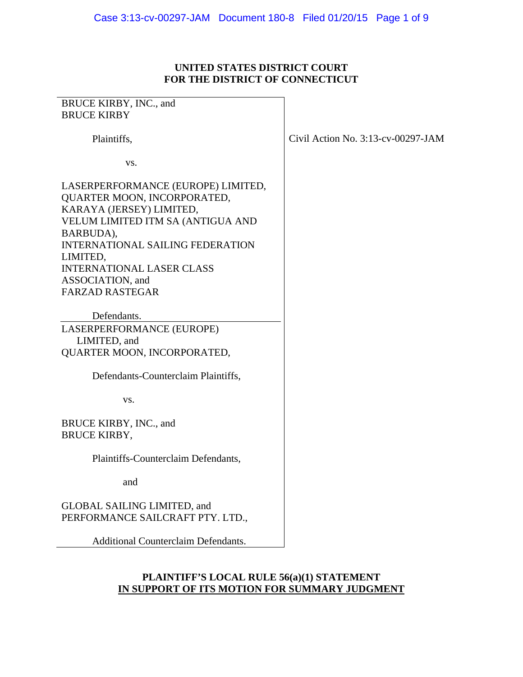# **UNITED STATES DISTRICT COURT FOR THE DISTRICT OF CONNECTICUT**

| BRUCE KIRBY, INC., and                                                                                                                                                                                                                                                                   |                                       |
|------------------------------------------------------------------------------------------------------------------------------------------------------------------------------------------------------------------------------------------------------------------------------------------|---------------------------------------|
| <b>BRUCE KIRBY</b>                                                                                                                                                                                                                                                                       |                                       |
| Plaintiffs,                                                                                                                                                                                                                                                                              | Civil Action No. $3:13$ -cv-00297-JAM |
| VS.                                                                                                                                                                                                                                                                                      |                                       |
| LASERPERFORMANCE (EUROPE) LIMITED,<br>QUARTER MOON, INCORPORATED,<br>KARAYA (JERSEY) LIMITED,<br>VELUM LIMITED ITM SA (ANTIGUA AND<br>BARBUDA),<br><b>INTERNATIONAL SAILING FEDERATION</b><br>LIMITED,<br><b>INTERNATIONAL LASER CLASS</b><br>ASSOCIATION, and<br><b>FARZAD RASTEGAR</b> |                                       |
|                                                                                                                                                                                                                                                                                          |                                       |
| Defendants.                                                                                                                                                                                                                                                                              |                                       |
| LASERPERFORMANCE (EUROPE)<br>LIMITED, and                                                                                                                                                                                                                                                |                                       |
| QUARTER MOON, INCORPORATED,                                                                                                                                                                                                                                                              |                                       |
| Defendants-Counterclaim Plaintiffs,                                                                                                                                                                                                                                                      |                                       |
| VS.                                                                                                                                                                                                                                                                                      |                                       |
| BRUCE KIRBY, INC., and<br><b>BRUCE KIRBY,</b>                                                                                                                                                                                                                                            |                                       |
| Plaintiffs-Counterclaim Defendants,                                                                                                                                                                                                                                                      |                                       |
| and                                                                                                                                                                                                                                                                                      |                                       |
| <b>GLOBAL SAILING LIMITED, and</b><br>PERFORMANCE SAILCRAFT PTY. LTD.,                                                                                                                                                                                                                   |                                       |
| <b>Additional Counterclaim Defendants.</b>                                                                                                                                                                                                                                               |                                       |

# **PLAINTIFF'S LOCAL RULE 56(a)(1) STATEMENT IN SUPPORT OF ITS MOTION FOR SUMMARY JUDGMENT**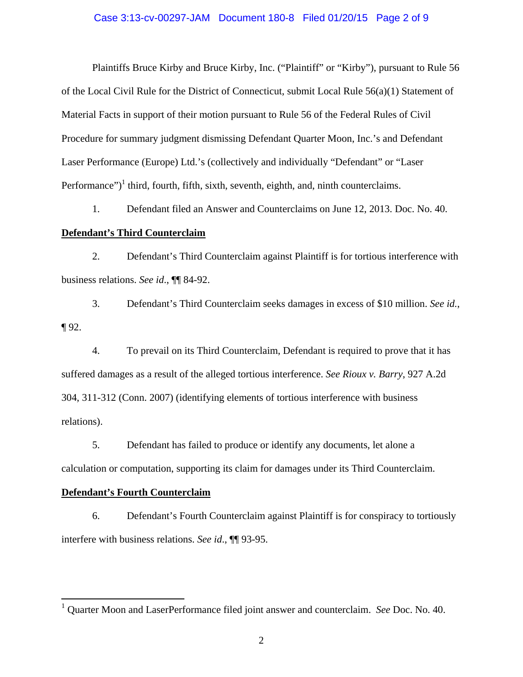#### Case 3:13-cv-00297-JAM Document 180-8 Filed 01/20/15 Page 2 of 9

Plaintiffs Bruce Kirby and Bruce Kirby, Inc. ("Plaintiff" or "Kirby"), pursuant to Rule 56 of the Local Civil Rule for the District of Connecticut, submit Local Rule 56(a)(1) Statement of Material Facts in support of their motion pursuant to Rule 56 of the Federal Rules of Civil Procedure for summary judgment dismissing Defendant Quarter Moon, Inc.'s and Defendant Laser Performance (Europe) Ltd.'s (collectively and individually "Defendant" or "Laser Performance")<sup>1</sup> third, fourth, fifth, sixth, seventh, eighth, and, ninth counterclaims.

1. Defendant filed an Answer and Counterclaims on June 12, 2013. Doc. No. 40. **Defendant's Third Counterclaim**

2. Defendant's Third Counterclaim against Plaintiff is for tortious interference with business relations. *See id*., ¶¶ 84-92.

3. Defendant's Third Counterclaim seeks damages in excess of \$10 million. *See id.*, ¶ 92.

4. To prevail on its Third Counterclaim, Defendant is required to prove that it has suffered damages as a result of the alleged tortious interference. *See Rioux v. Barry*, 927 A.2d 304, 311-312 (Conn. 2007) (identifying elements of tortious interference with business relations).

5. Defendant has failed to produce or identify any documents, let alone a calculation or computation, supporting its claim for damages under its Third Counterclaim.

#### **Defendant's Fourth Counterclaim**

 $\overline{a}$ 

6. Defendant's Fourth Counterclaim against Plaintiff is for conspiracy to tortiously interfere with business relations. *See id*., ¶¶ 93-95.

<sup>1</sup> Quarter Moon and LaserPerformance filed joint answer and counterclaim. *See* Doc. No. 40.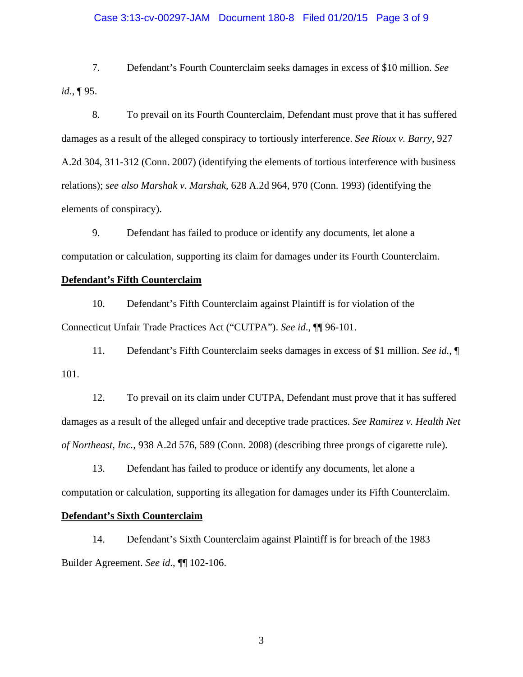# Case 3:13-cv-00297-JAM Document 180-8 Filed 01/20/15 Page 3 of 9

7. Defendant's Fourth Counterclaim seeks damages in excess of \$10 million. *See id.*, ¶ 95.

8. To prevail on its Fourth Counterclaim, Defendant must prove that it has suffered damages as a result of the alleged conspiracy to tortiously interference. *See Rioux v. Barry*, 927 A.2d 304, 311-312 (Conn. 2007) (identifying the elements of tortious interference with business relations); *see also Marshak v. Marshak*, 628 A.2d 964, 970 (Conn. 1993) (identifying the elements of conspiracy).

9. Defendant has failed to produce or identify any documents, let alone a computation or calculation, supporting its claim for damages under its Fourth Counterclaim.

#### **Defendant's Fifth Counterclaim**

10. Defendant's Fifth Counterclaim against Plaintiff is for violation of the Connecticut Unfair Trade Practices Act ("CUTPA"). *See id*., ¶¶ 96-101.

11. Defendant's Fifth Counterclaim seeks damages in excess of \$1 million. *See id.*, ¶ 101.

12. To prevail on its claim under CUTPA, Defendant must prove that it has suffered damages as a result of the alleged unfair and deceptive trade practices. *See Ramirez v. Health Net of Northeast, Inc.*, 938 A.2d 576, 589 (Conn. 2008) (describing three prongs of cigarette rule).

13. Defendant has failed to produce or identify any documents, let alone a computation or calculation, supporting its allegation for damages under its Fifth Counterclaim.

### **Defendant's Sixth Counterclaim**

14. Defendant's Sixth Counterclaim against Plaintiff is for breach of the 1983 Builder Agreement. *See id*., ¶¶ 102-106.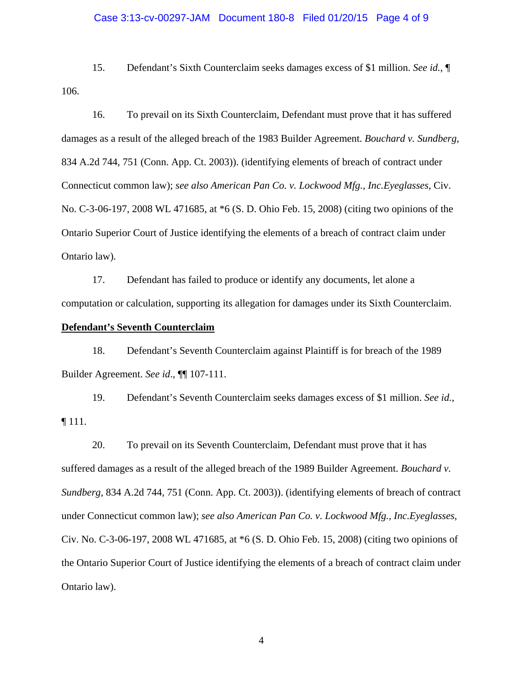# Case 3:13-cv-00297-JAM Document 180-8 Filed 01/20/15 Page 4 of 9

15. Defendant's Sixth Counterclaim seeks damages excess of \$1 million. *See id.*, ¶ 106.

16. To prevail on its Sixth Counterclaim, Defendant must prove that it has suffered damages as a result of the alleged breach of the 1983 Builder Agreement. *Bouchard v. Sundberg,*  834 A.2d 744, 751 (Conn. App. Ct. 2003)). (identifying elements of breach of contract under Connecticut common law); *see also American Pan Co. v. Lockwood Mfg., Inc.Eyeglasses*, Civ. No. C-3-06-197, 2008 WL 471685, at \*6 (S. D. Ohio Feb. 15, 2008) (citing two opinions of the Ontario Superior Court of Justice identifying the elements of a breach of contract claim under Ontario law).

17. Defendant has failed to produce or identify any documents, let alone a computation or calculation, supporting its allegation for damages under its Sixth Counterclaim.

### **Defendant's Seventh Counterclaim**

18. Defendant's Seventh Counterclaim against Plaintiff is for breach of the 1989 Builder Agreement. *See id*., ¶¶ 107-111.

19. Defendant's Seventh Counterclaim seeks damages excess of \$1 million. *See id.*, ¶ 111.

20. To prevail on its Seventh Counterclaim, Defendant must prove that it has suffered damages as a result of the alleged breach of the 1989 Builder Agreement. *Bouchard v. Sundberg,* 834 A.2d 744, 751 (Conn. App. Ct. 2003)). (identifying elements of breach of contract under Connecticut common law); *see also American Pan Co. v. Lockwood Mfg., Inc.Eyeglasses*, Civ. No. C-3-06-197, 2008 WL 471685, at \*6 (S. D. Ohio Feb. 15, 2008) (citing two opinions of the Ontario Superior Court of Justice identifying the elements of a breach of contract claim under Ontario law).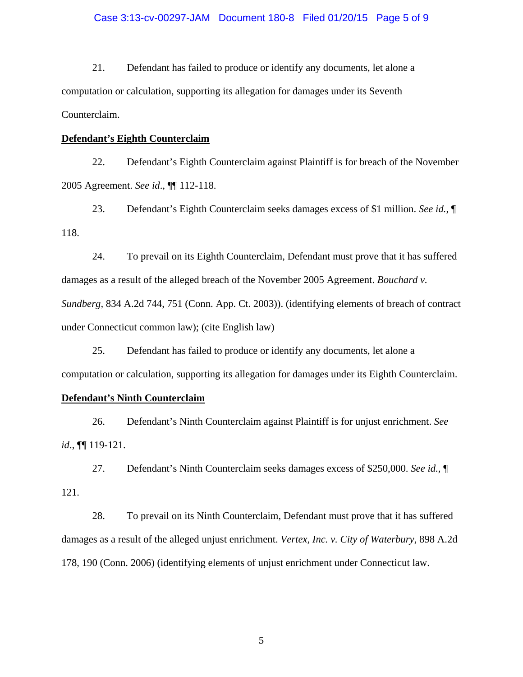# Case 3:13-cv-00297-JAM Document 180-8 Filed 01/20/15 Page 5 of 9

21. Defendant has failed to produce or identify any documents, let alone a computation or calculation, supporting its allegation for damages under its Seventh Counterclaim.

#### **Defendant's Eighth Counterclaim**

22. Defendant's Eighth Counterclaim against Plaintiff is for breach of the November 2005 Agreement. *See id*., ¶¶ 112-118.

23. Defendant's Eighth Counterclaim seeks damages excess of \$1 million. *See id.*, ¶ 118.

24. To prevail on its Eighth Counterclaim, Defendant must prove that it has suffered damages as a result of the alleged breach of the November 2005 Agreement. *Bouchard v. Sundberg,* 834 A.2d 744, 751 (Conn. App. Ct. 2003)). (identifying elements of breach of contract under Connecticut common law); (cite English law)

25. Defendant has failed to produce or identify any documents, let alone a computation or calculation, supporting its allegation for damages under its Eighth Counterclaim.

#### **Defendant's Ninth Counterclaim**

26. Defendant's Ninth Counterclaim against Plaintiff is for unjust enrichment. *See id*., ¶¶ 119-121.

27. Defendant's Ninth Counterclaim seeks damages excess of \$250,000. *See id.*, ¶ 121.

28. To prevail on its Ninth Counterclaim, Defendant must prove that it has suffered damages as a result of the alleged unjust enrichment. *Vertex, Inc. v. City of Waterbury*, 898 A.2d 178, 190 (Conn. 2006) (identifying elements of unjust enrichment under Connecticut law.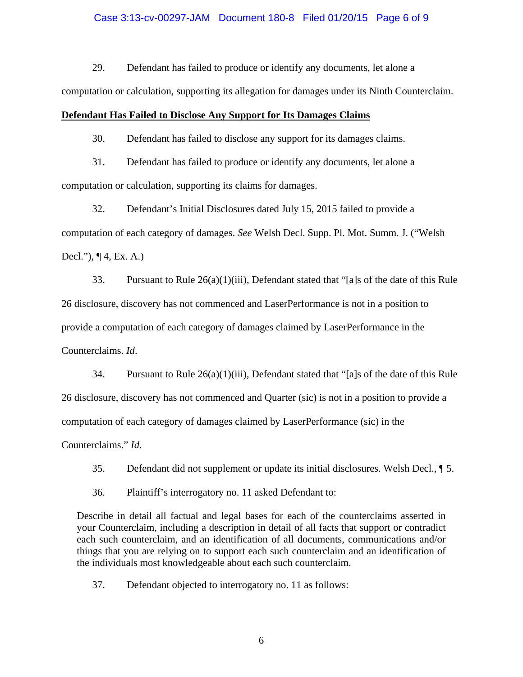# Case 3:13-cv-00297-JAM Document 180-8 Filed 01/20/15 Page 6 of 9

29. Defendant has failed to produce or identify any documents, let alone a

computation or calculation, supporting its allegation for damages under its Ninth Counterclaim.

#### **Defendant Has Failed to Disclose Any Support for Its Damages Claims**

30. Defendant has failed to disclose any support for its damages claims.

31. Defendant has failed to produce or identify any documents, let alone a computation or calculation, supporting its claims for damages.

32. Defendant's Initial Disclosures dated July 15, 2015 failed to provide a computation of each category of damages. *See* Welsh Decl. Supp. Pl. Mot. Summ. J. ("Welsh Decl."), ¶ 4, Ex. A.)

33. Pursuant to Rule 26(a)(1)(iii), Defendant stated that "[a]s of the date of this Rule 26 disclosure, discovery has not commenced and LaserPerformance is not in a position to provide a computation of each category of damages claimed by LaserPerformance in the Counterclaims. *Id*.

34. Pursuant to Rule 26(a)(1)(iii), Defendant stated that "[a]s of the date of this Rule 26 disclosure, discovery has not commenced and Quarter (sic) is not in a position to provide a computation of each category of damages claimed by LaserPerformance (sic) in the

Counterclaims." *Id*.

35. Defendant did not supplement or update its initial disclosures. Welsh Decl., ¶ 5.

36. Plaintiff's interrogatory no. 11 asked Defendant to:

Describe in detail all factual and legal bases for each of the counterclaims asserted in your Counterclaim, including a description in detail of all facts that support or contradict each such counterclaim, and an identification of all documents, communications and/or things that you are relying on to support each such counterclaim and an identification of the individuals most knowledgeable about each such counterclaim.

37. Defendant objected to interrogatory no. 11 as follows: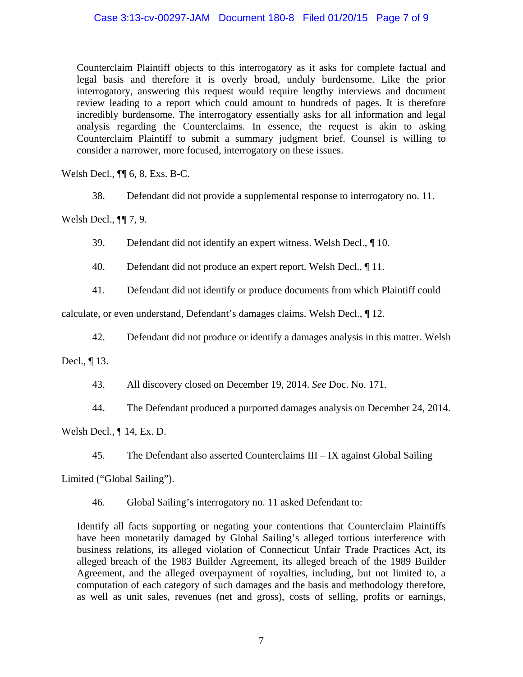# Case 3:13-cv-00297-JAM Document 180-8 Filed 01/20/15 Page 7 of 9

Counterclaim Plaintiff objects to this interrogatory as it asks for complete factual and legal basis and therefore it is overly broad, unduly burdensome. Like the prior interrogatory, answering this request would require lengthy interviews and document review leading to a report which could amount to hundreds of pages. It is therefore incredibly burdensome. The interrogatory essentially asks for all information and legal analysis regarding the Counterclaims. In essence, the request is akin to asking Counterclaim Plaintiff to submit a summary judgment brief. Counsel is willing to consider a narrower, more focused, interrogatory on these issues.

Welsh Decl., ¶¶ 6, 8, Exs. B-C.

38. Defendant did not provide a supplemental response to interrogatory no. 11.

Welsh Decl., ¶¶ 7, 9.

39. Defendant did not identify an expert witness. Welsh Decl., ¶ 10.

40. Defendant did not produce an expert report. Welsh Decl., ¶ 11.

41. Defendant did not identify or produce documents from which Plaintiff could

calculate, or even understand, Defendant's damages claims. Welsh Decl., ¶ 12.

42. Defendant did not produce or identify a damages analysis in this matter. Welsh

Decl., ¶ 13.

43. All discovery closed on December 19, 2014. *See* Doc. No. 171.

44. The Defendant produced a purported damages analysis on December 24, 2014.

Welsh Decl., ¶ 14, Ex. D.

45. The Defendant also asserted Counterclaims III – IX against Global Sailing

Limited ("Global Sailing").

46. Global Sailing's interrogatory no. 11 asked Defendant to:

Identify all facts supporting or negating your contentions that Counterclaim Plaintiffs have been monetarily damaged by Global Sailing's alleged tortious interference with business relations, its alleged violation of Connecticut Unfair Trade Practices Act, its alleged breach of the 1983 Builder Agreement, its alleged breach of the 1989 Builder Agreement, and the alleged overpayment of royalties, including, but not limited to, a computation of each category of such damages and the basis and methodology therefore, as well as unit sales, revenues (net and gross), costs of selling, profits or earnings,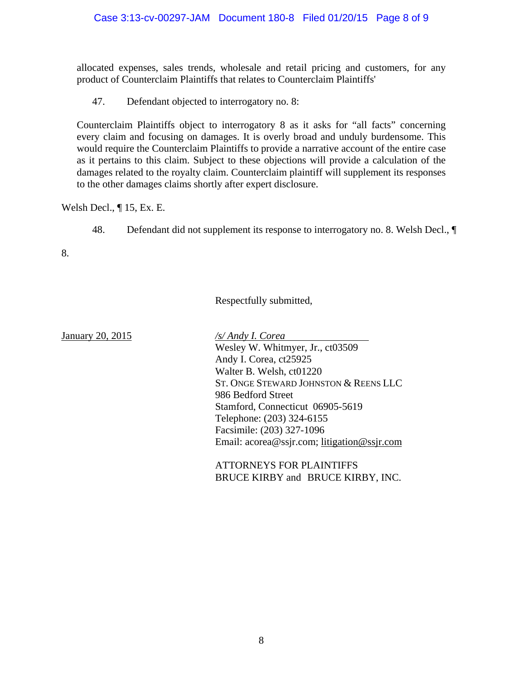allocated expenses, sales trends, wholesale and retail pricing and customers, for any product of Counterclaim Plaintiffs that relates to Counterclaim Plaintiffs'

47. Defendant objected to interrogatory no. 8:

Counterclaim Plaintiffs object to interrogatory 8 as it asks for "all facts" concerning every claim and focusing on damages. It is overly broad and unduly burdensome. This would require the Counterclaim Plaintiffs to provide a narrative account of the entire case as it pertains to this claim. Subject to these objections will provide a calculation of the damages related to the royalty claim. Counterclaim plaintiff will supplement its responses to the other damages claims shortly after expert disclosure.

Welsh Decl., ¶ 15, Ex. E.

48. Defendant did not supplement its response to interrogatory no. 8. Welsh Decl., ¶

8.

Respectfully submitted,

January 20, 2015 */s/ Andy I. Corea* 

 Wesley W. Whitmyer, Jr., ct03509 Andy I. Corea, ct25925 Walter B. Welsh, ct01220 ST. ONGE STEWARD JOHNSTON & REENS LLC 986 Bedford Street Stamford, Connecticut 06905-5619 Telephone: (203) 324-6155 Facsimile: (203) 327-1096 Email: acorea@ssjr.com; litigation@ssjr.com

 ATTORNEYS FOR PLAINTIFFS BRUCE KIRBY and BRUCE KIRBY, INC.